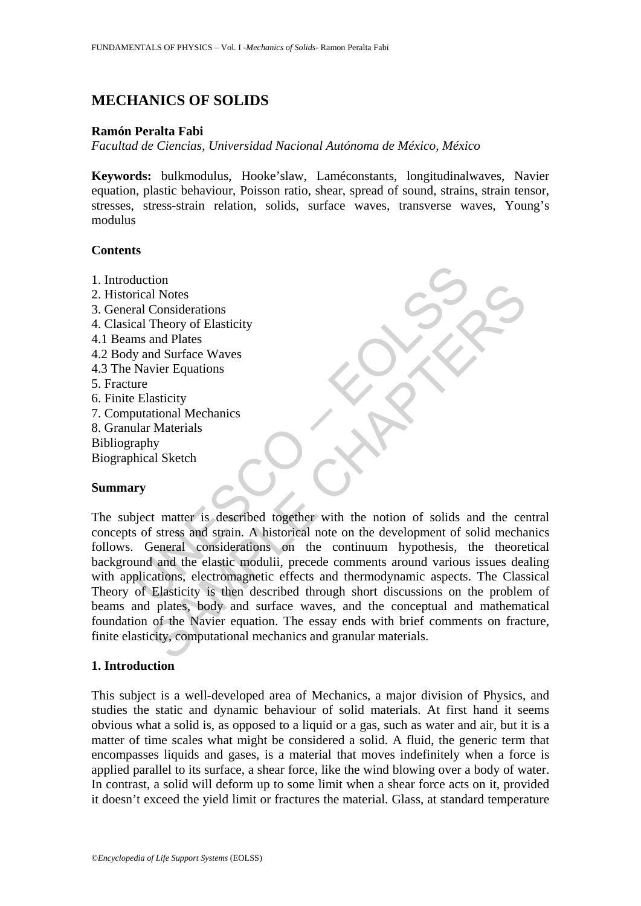# **MECHANICS OF SOLIDS**

### **Ramón Peralta Fabi**

*Facultad de Ciencias*, *Universidad Nacional Autónoma de México, México* 

**Keywords:** bulkmodulus, Hooke'slaw, Laméconstants, longitudinalwaves, Navier equation, plastic behaviour, Poisson ratio, shear, spread of sound, strains, strain tensor, stresses, stress-strain relation, solids, surface waves, transverse waves, Young's modulus

### **Contents**

- 1. Introduction
- 2. Historical Notes
- 3. General Considerations
- 4. Clasical Theory of Elasticity
- 4.1 Beams and Plates
- 4.2 Body and Surface Waves
- 4.3 The Navier Equations
- 5. Fracture
- 6. Finite Elasticity
- 7. Computational Mechanics
- 8. Granular Materials
- Bibliography
- Biographical Sketch

### **Summary**

duction<br>
arical Notes<br>
ral Considerations<br>
ral Considerations<br>
ral Theory of Elasticity<br>
ms and Plates<br>
y and Surface Waves<br>
ure<br>
Elasticity<br>
untational Mechanics<br>
ure<br>
Elasticity<br>
putational Mechanics<br>
raphy<br>
phical Sketc Francy of Elasticity<br>
al Notes<br>
and Plustes<br>
and Plustes<br>
and Surface Waves<br>
and Surface Waves<br>
wier Equations<br>
and Surface Waves<br>
and Surface Waves<br>
and Surface Waves<br>
and Surface Waves<br>
and Surface Waves<br>
and the classic The subject matter is described together with the notion of solids and the central concepts of stress and strain. A historical note on the development of solid mechanics follows. General considerations on the continuum hypothesis, the theoretical background and the elastic modulii, precede comments around various issues dealing with applications, electromagnetic effects and thermodynamic aspects. The Classical Theory of Elasticity is then described through short discussions on the problem of beams and plates, body and surface waves, and the conceptual and mathematical foundation of the Navier equation. The essay ends with brief comments on fracture, finite elasticity, computational mechanics and granular materials.

### **1. Introduction**

This subject is a well-developed area of Mechanics, a major division of Physics, and studies the static and dynamic behaviour of solid materials. At first hand it seems obvious what a solid is, as opposed to a liquid or a gas, such as water and air, but it is a matter of time scales what might be considered a solid. A fluid, the generic term that encompasses liquids and gases, is a material that moves indefinitely when a force is applied parallel to its surface, a shear force, like the wind blowing over a body of water. In contrast, a solid will deform up to some limit when a shear force acts on it, provided it doesn't exceed the yield limit or fractures the material. Glass, at standard temperature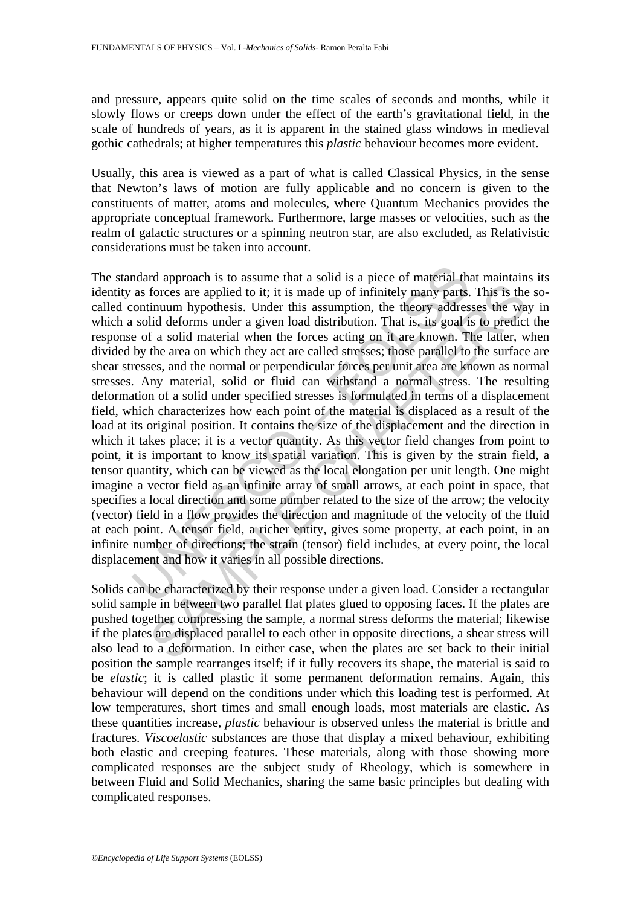and pressure, appears quite solid on the time scales of seconds and months, while it slowly flows or creeps down under the effect of the earth's gravitational field, in the scale of hundreds of years, as it is apparent in the stained glass windows in medieval gothic cathedrals; at higher temperatures this *plastic* behaviour becomes more evident.

Usually, this area is viewed as a part of what is called Classical Physics, in the sense that Newton's laws of motion are fully applicable and no concern is given to the constituents of matter, atoms and molecules, where Quantum Mechanics provides the appropriate conceptual framework. Furthermore, large masses or velocities, such as the realm of galactic structures or a spinning neutron star, are also excluded, as Relativistic considerations must be taken into account.

ndard approach is to assume that a solid is a piece of material th, as forces are applied to it; it is made up of infinitely many parts.<br>
continuum hypothesis. Under this assumption, the theory address solid deforms under Forces are applied to it; it is made up of infinitely many parts. This is the forces are applied to it; it is made up of infinitely many parts. This is the induction that it deforms under a given load distribution. That i The standard approach is to assume that a solid is a piece of material that maintains its identity as forces are applied to it; it is made up of infinitely many parts. This is the socalled continuum hypothesis. Under this assumption, the theory addresses the way in which a solid deforms under a given load distribution. That is, its goal is to predict the response of a solid material when the forces acting on it are known. The latter, when divided by the area on which they act are called stresses; those parallel to the surface are shear stresses, and the normal or perpendicular forces per unit area are known as normal stresses. Any material, solid or fluid can withstand a normal stress. The resulting deformation of a solid under specified stresses is formulated in terms of a displacement field, which characterizes how each point of the material is displaced as a result of the load at its original position. It contains the size of the displacement and the direction in which it takes place; it is a vector quantity. As this vector field changes from point to point, it is important to know its spatial variation. This is given by the strain field, a tensor quantity, which can be viewed as the local elongation per unit length. One might imagine a vector field as an infinite array of small arrows, at each point in space, that specifies a local direction and some number related to the size of the arrow; the velocity (vector) field in a flow provides the direction and magnitude of the velocity of the fluid at each point. A tensor field, a richer entity, gives some property, at each point, in an infinite number of directions; the strain (tensor) field includes, at every point, the local displacement and how it varies in all possible directions.

Solids can be characterized by their response under a given load. Consider a rectangular solid sample in between two parallel flat plates glued to opposing faces. If the plates are pushed together compressing the sample, a normal stress deforms the material; likewise if the plates are displaced parallel to each other in opposite directions, a shear stress will also lead to a deformation. In either case, when the plates are set back to their initial position the sample rearranges itself; if it fully recovers its shape, the material is said to be *elastic*; it is called plastic if some permanent deformation remains. Again, this behaviour will depend on the conditions under which this loading test is performed. At low temperatures, short times and small enough loads, most materials are elastic. As these quantities increase, *plastic* behaviour is observed unless the material is brittle and fractures. *Viscoelastic* substances are those that display a mixed behaviour, exhibiting both elastic and creeping features. These materials, along with those showing more complicated responses are the subject study of Rheology, which is somewhere in between Fluid and Solid Mechanics, sharing the same basic principles but dealing with complicated responses.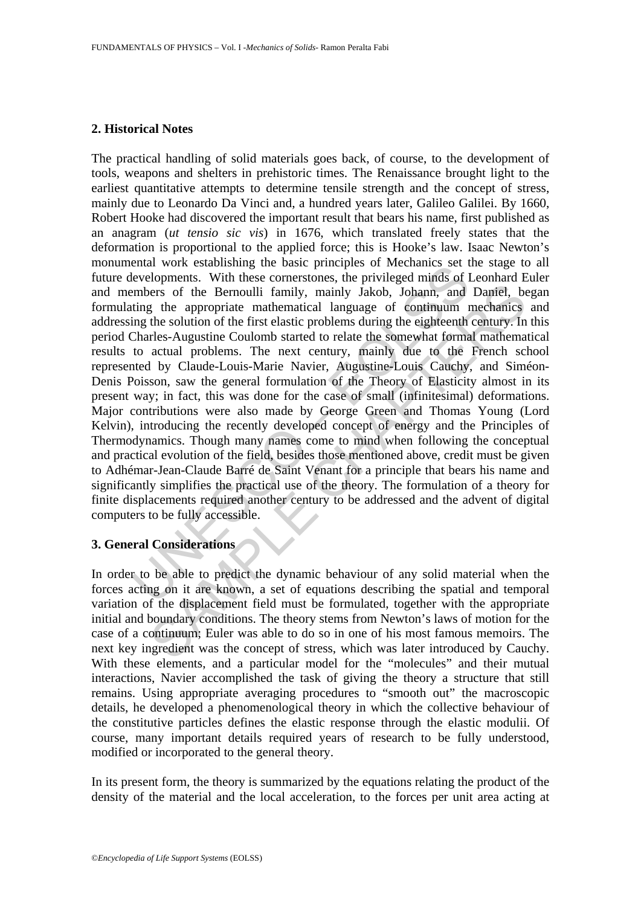## **2. Historical Notes**

Entair work establishing the basic pluriques or iveclations set the developments. With these correstones, the privileged minds of I<br>mbers of the Bernoulli family, mainly Jakob, Johann, and<br>ting the appropriate mathematical response to the first elastic production of the appropriate mathematical considers of the Bernoulli family, mainly Jakob, Johann, and Daniel, be the solution of the first elastic prolehans during the eighteenth century. In The practical handling of solid materials goes back, of course, to the development of tools, weapons and shelters in prehistoric times. The Renaissance brought light to the earliest quantitative attempts to determine tensile strength and the concept of stress, mainly due to Leonardo Da Vinci and, a hundred years later, Galileo Galilei. By 1660, Robert Hooke had discovered the important result that bears his name, first published as an anagram (*ut tensio sic vis*) in 1676, which translated freely states that the deformation is proportional to the applied force; this is Hooke's law. Isaac Newton's monumental work establishing the basic principles of Mechanics set the stage to all future developments. With these cornerstones, the privileged minds of Leonhard Euler and members of the Bernoulli family, mainly Jakob, Johann, and Daniel, began formulating the appropriate mathematical language of continuum mechanics and addressing the solution of the first elastic problems during the eighteenth century. In this period Charles-Augustine Coulomb started to relate the somewhat formal mathematical results to actual problems. The next century, mainly due to the French school represented by Claude-Louis-Marie Navier, Augustine-Louis Cauchy, and Siméon-Denis Poisson, saw the general formulation of the Theory of Elasticity almost in its present way; in fact, this was done for the case of small (infinitesimal) deformations. Major contributions were also made by George Green and Thomas Young (Lord Kelvin), introducing the recently developed concept of energy and the Principles of Thermodynamics. Though many names come to mind when following the conceptual and practical evolution of the field, besides those mentioned above, credit must be given to Adhémar-Jean-Claude Barré de Saint Venant for a principle that bears his name and significantly simplifies the practical use of the theory. The formulation of a theory for finite displacements required another century to be addressed and the advent of digital computers to be fully accessible.

## **3. General Considerations**

In order to be able to predict the dynamic behaviour of any solid material when the forces acting on it are known, a set of equations describing the spatial and temporal variation of the displacement field must be formulated, together with the appropriate initial and boundary conditions. The theory stems from Newton's laws of motion for the case of a continuum; Euler was able to do so in one of his most famous memoirs. The next key ingredient was the concept of stress, which was later introduced by Cauchy. With these elements, and a particular model for the "molecules" and their mutual interactions, Navier accomplished the task of giving the theory a structure that still remains. Using appropriate averaging procedures to "smooth out" the macroscopic details, he developed a phenomenological theory in which the collective behaviour of the constitutive particles defines the elastic response through the elastic modulii. Of course, many important details required years of research to be fully understood, modified or incorporated to the general theory.

In its present form, the theory is summarized by the equations relating the product of the density of the material and the local acceleration, to the forces per unit area acting at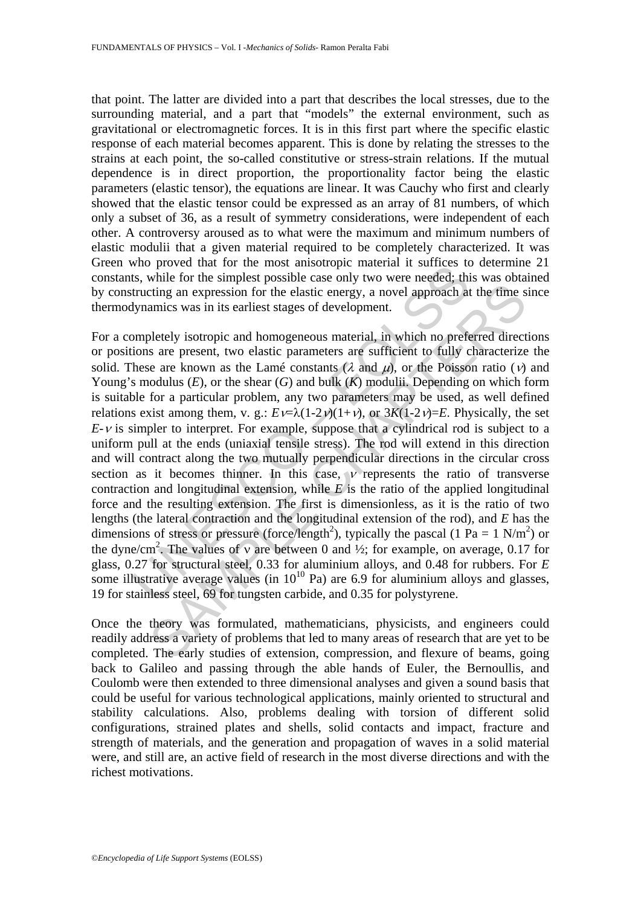that point. The latter are divided into a part that describes the local stresses, due to the surrounding material, and a part that "models" the external environment, such as gravitational or electromagnetic forces. It is in this first part where the specific elastic response of each material becomes apparent. This is done by relating the stresses to the strains at each point, the so-called constitutive or stress-strain relations. If the mutual dependence is in direct proportion, the proportionality factor being the elastic parameters (elastic tensor), the equations are linear. It was Cauchy who first and clearly showed that the elastic tensor could be expressed as an array of 81 numbers, of which only a subset of 36, as a result of symmetry considerations, were independent of each other. A controversy aroused as to what were the maximum and minimum numbers of elastic modulii that a given material required to be completely characterized. It was Green who proved that for the most anisotropic material it suffices to determine 21 constants, while for the simplest possible case only two were needed; this was obtained by constructing an expression for the elastic energy, a novel approach at the time since thermodynamics was in its earliest stages of development.

who proved that for the most annisotopper inates and the state of the state of the state of the term and the tructing an expression for the elastic energy, a novel approach at tyrating an expression for the elastic paragu tring an expression for the elastic energy, a novel approach at the time s<br>eiting an expression for the elastic energy, a novel approach at the time s<br>amics was in its earliest stages of development.<br>
bletely isotropic a For a completely isotropic and homogeneous material, in which no preferred directions or positions are present, two elastic parameters are sufficient to fully characterize the solid. These are known as the Lamé constants ( $\lambda$  and  $\mu$ ), or the Poisson ratio (*v*) and Young's modulus (*E*), or the shear (*G*) and bulk (*K*) modulii. Depending on which form is suitable for a particular problem, any two parameters may be used, as well defined relations exist among them, v. g.:  $E \nu = \lambda (1-2\nu)(1+\nu)$ , or  $3K(1-2\nu) = E$ . Physically, the set  $E-V$  is simpler to interpret. For example, suppose that a cylindrical rod is subject to a uniform pull at the ends (uniaxial tensile stress). The rod will extend in this direction and will contract along the two mutually perpendicular directions in the circular cross section as it becomes thinner. In this case,  $\nu$  represents the ratio of transverse contraction and longitudinal extension, while *E* is the ratio of the applied longitudinal force and the resulting extension. The first is dimensionless, as it is the ratio of two lengths (the lateral contraction and the longitudinal extension of the rod), and *E* has the dimensions of stress or pressure (force/length<sup>2</sup>), typically the pascal (1 Pa = 1 N/m<sup>2</sup>) or the dyne/cm<sup>2</sup>. The values of v are between 0 and  $\frac{1}{2}$ ; for example, on average, 0.17 for glass, 0.27 for structural steel, 0.33 for aluminium alloys, and 0.48 for rubbers. For *E* some illustrative average values (in  $10^{10}$  Pa) are 6.9 for aluminium alloys and glasses, 19 for stainless steel, 69 for tungsten carbide, and 0.35 for polystyrene.

Once the theory was formulated, mathematicians, physicists, and engineers could readily address a variety of problems that led to many areas of research that are yet to be completed. The early studies of extension, compression, and flexure of beams, going back to Galileo and passing through the able hands of Euler, the Bernoullis, and Coulomb were then extended to three dimensional analyses and given a sound basis that could be useful for various technological applications, mainly oriented to structural and stability calculations. Also, problems dealing with torsion of different solid configurations, strained plates and shells, solid contacts and impact, fracture and strength of materials, and the generation and propagation of waves in a solid material were, and still are, an active field of research in the most diverse directions and with the richest motivations.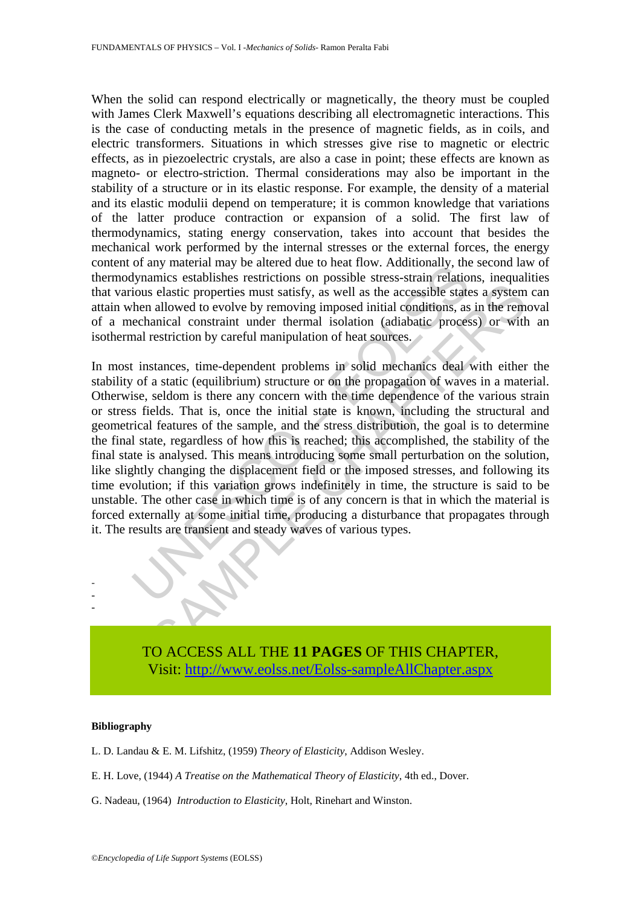When the solid can respond electrically or magnetically, the theory must be coupled with James Clerk Maxwell's equations describing all electromagnetic interactions. This is the case of conducting metals in the presence of magnetic fields, as in coils, and electric transformers. Situations in which stresses give rise to magnetic or electric effects, as in piezoelectric crystals, are also a case in point; these effects are known as magneto- or electro-striction. Thermal considerations may also be important in the stability of a structure or in its elastic response. For example, the density of a material and its elastic modulii depend on temperature; it is common knowledge that variations of the latter produce contraction or expansion of a solid. The first law of thermodynamics, stating energy conservation, takes into account that besides the mechanical work performed by the internal stresses or the external forces, the energy content of any material may be altered due to heat flow. Additionally, the second law of thermodynamics establishes restrictions on possible stress-strain relations, inequalities that various elastic properties must satisfy, as well as the accessible states a system can attain when allowed to evolve by removing imposed initial conditions, as in the removal of a mechanical constraint under thermal isolation (adiabatic process) or with an isothermal restriction by careful manipulation of heat sources.

of a materia may be antered to theat now. Adminitative, the orient of the town and by an incominal may be an incominally the allowed to evolve by removing imposed initial conditions, as echanical constraint under thermal i s elastic properties must satisfy, as well as the accessible states a system<br>allowed to evolve by removing imposed initial conditions, as in the remanical constraint under thermal isolation (adiabatic process) or with<br>rest In most instances, time-dependent problems in solid mechanics deal with either the stability of a static (equilibrium) structure or on the propagation of waves in a material. Otherwise, seldom is there any concern with the time dependence of the various strain or stress fields. That is, once the initial state is known, including the structural and geometrical features of the sample, and the stress distribution, the goal is to determine the final state, regardless of how this is reached; this accomplished, the stability of the final state is analysed. This means introducing some small perturbation on the solution, like slightly changing the displacement field or the imposed stresses, and following its time evolution; if this variation grows indefinitely in time, the structure is said to be unstable. The other case in which time is of any concern is that in which the material is forced externally at some initial time, producing a disturbance that propagates through it. The results are transient and steady waves of various types.



#### **Bibliography**

- - -

- L. D. Landau & E. M. Lifshitz, (1959) *Theory of Elasticity*, Addison Wesley.
- E. H. Love, (1944) *A Treatise on the Mathematical Theory of Elasticity*, 4th ed., Dover.
- G. Nadeau, (1964) *Introduction to Elasticity*, Holt, Rinehart and Winston.